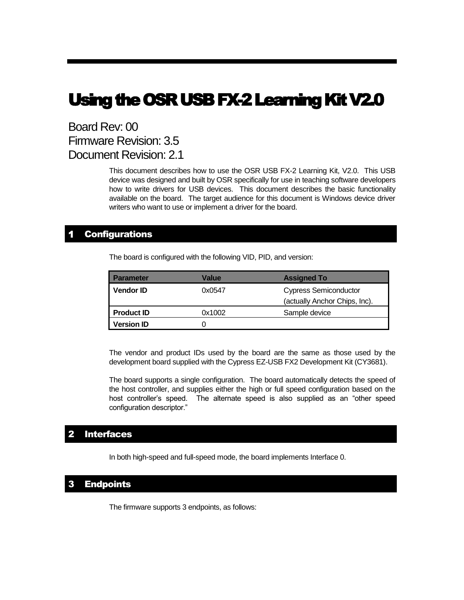# Using the OSR USB FX-2 Learning Kit V2.0

## Board Rev: 00 Firmware Revision: 3.5 Document Revision: 2.1

This document describes how to use the OSR USB FX-2 Learning Kit, V2.0. This USB device was designed and built by OSR specifically for use in teaching software developers how to write drivers for USB devices. This document describes the basic functionality available on the board. The target audience for this document is Windows device driver writers who want to use or implement a driver for the board.

## **Configurations**

The board is configured with the following VID, PID, and version:

| <b>Parameter</b>  | Value  | <b>Assigned To</b>            |  |
|-------------------|--------|-------------------------------|--|
| <b>Vendor ID</b>  | 0x0547 | <b>Cypress Semiconductor</b>  |  |
|                   |        | (actually Anchor Chips, Inc). |  |
| <b>Product ID</b> | 0x1002 | Sample device                 |  |
| <b>Version ID</b> |        |                               |  |

The vendor and product IDs used by the board are the same as those used by the development board supplied with the Cypress EZ-USB FX2 Development Kit (CY3681).

The board supports a single configuration. The board automatically detects the speed of the host controller, and supplies either the high or full speed configuration based on the host controller's speed. The alternate speed is also supplied as an "other speed configuration descriptor."

## 2 Interfaces

In both high-speed and full-speed mode, the board implements Interface 0.

## 3 Endpoints

The firmware supports 3 endpoints, as follows: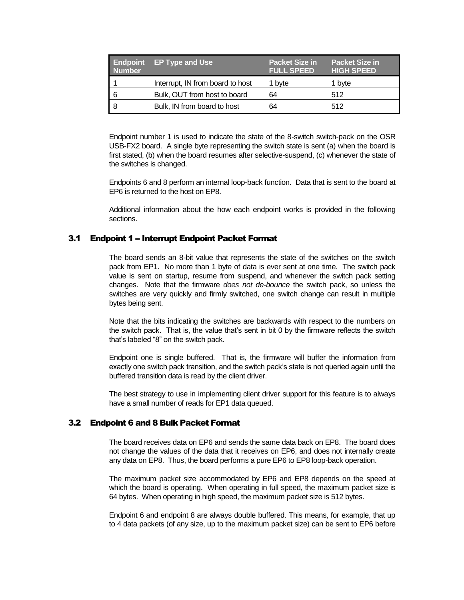| <b>Number</b> | Endpoint EP Type and Use         | <b>Packet Size in</b><br><b>FULL SPEED</b> | <b>Packet Size in</b><br><b>HIGH SPEED</b> |
|---------------|----------------------------------|--------------------------------------------|--------------------------------------------|
|               | Interrupt, IN from board to host | 1 byte                                     | 1 byte                                     |
| 6             | Bulk, OUT from host to board     | 64                                         | 512                                        |
|               | Bulk, IN from board to host      | 64                                         | 512                                        |

Endpoint number 1 is used to indicate the state of the 8-switch switch-pack on the OSR USB-FX2 board. A single byte representing the switch state is sent (a) when the board is first stated, (b) when the board resumes after selective-suspend, (c) whenever the state of the switches is changed.

Endpoints 6 and 8 perform an internal loop-back function. Data that is sent to the board at EP6 is returned to the host on EP8.

Additional information about the how each endpoint works is provided in the following sections.

### 3.1 Endpoint 1 - Interrupt Endpoint Packet Format

The board sends an 8-bit value that represents the state of the switches on the switch pack from EP1. No more than 1 byte of data is ever sent at one time. The switch pack value is sent on startup, resume from suspend, and whenever the switch pack setting changes. Note that the firmware *does not de-bounce* the switch pack, so unless the switches are very quickly and firmly switched, one switch change can result in multiple bytes being sent.

Note that the bits indicating the switches are backwards with respect to the numbers on the switch pack. That is, the value that's sent in bit 0 by the firmware reflects the switch that's labeled "8" on the switch pack.

Endpoint one is single buffered. That is, the firmware will buffer the information from exactly one switch pack transition, and the switch pack's state is not queried again until the buffered transition data is read by the client driver.

The best strategy to use in implementing client driver support for this feature is to always have a small number of reads for EP1 data queued.

## 3.2 Endpoint 6 and 8 Bulk Packet Format

The board receives data on EP6 and sends the same data back on EP8. The board does not change the values of the data that it receives on EP6, and does not internally create any data on EP8. Thus, the board performs a pure EP6 to EP8 loop-back operation.

The maximum packet size accommodated by EP6 and EP8 depends on the speed at which the board is operating. When operating in full speed, the maximum packet size is 64 bytes. When operating in high speed, the maximum packet size is 512 bytes.

Endpoint 6 and endpoint 8 are always double buffered. This means, for example, that up to 4 data packets (of any size, up to the maximum packet size) can be sent to EP6 before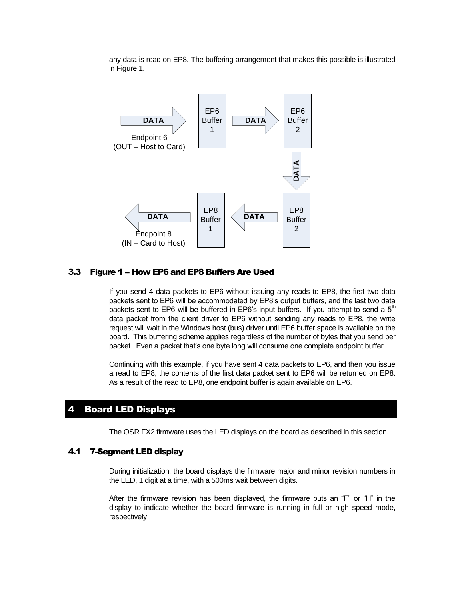any data is read on EP8. The buffering arrangement that makes this possible is illustrated in Figure 1.



#### 3.3 Figure 1 - How EP6 and EP8 Buffers Are Used

If you send 4 data packets to EP6 without issuing any reads to EP8, the first two data packets sent to EP6 will be accommodated by EP8's output buffers, and the last two data packets sent to EP6 will be buffered in EP6's input buffers. If you attempt to send a  $5<sup>m</sup>$ data packet from the client driver to EP6 without sending any reads to EP8, the write request will wait in the Windows host (bus) driver until EP6 buffer space is available on the board. This buffering scheme applies regardless of the number of bytes that you send per packet. Even a packet that's one byte long will consume one complete endpoint buffer.

Continuing with this example, if you have sent 4 data packets to EP6, and then you issue a read to EP8, the contents of the first data packet sent to EP6 will be returned on EP8. As a result of the read to EP8, one endpoint buffer is again available on EP6.

## 4 Board LED Displays

The OSR FX2 firmware uses the LED displays on the board as described in this section.

#### 4.1 7-Segment LED display

During initialization, the board displays the firmware major and minor revision numbers in the LED, 1 digit at a time, with a 500ms wait between digits.

After the firmware revision has been displayed, the firmware puts an "F" or "H" in the display to indicate whether the board firmware is running in full or high speed mode, respectively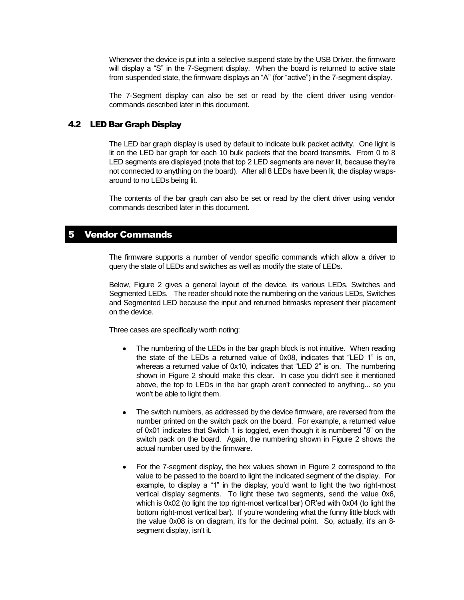Whenever the device is put into a selective suspend state by the USB Driver, the firmware will display a "S" in the 7-Segment display. When the board is returned to active state from suspended state, the firmware displays an "A" (for "active") in the 7-segment display.

The 7-Segment display can also be set or read by the client driver using vendorcommands described later in this document.

## 4.2 LED Bar Graph Display

The LED bar graph display is used by default to indicate bulk packet activity. One light is lit on the LED bar graph for each 10 bulk packets that the board transmits. From 0 to 8 LED segments are displayed (note that top 2 LED segments are never lit, because they're not connected to anything on the board). After all 8 LEDs have been lit, the display wrapsaround to no LEDs being lit.

The contents of the bar graph can also be set or read by the client driver using vendor commands described later in this document.

## **Vendor Commands**

The firmware supports a number of vendor specific commands which allow a driver to query the state of LEDs and switches as well as modify the state of LEDs.

Below, Figure 2 gives a general layout of the device, its various LEDs, Switches and Segmented LEDs. The reader should note the numbering on the various LEDs, Switches and Segmented LED because the input and returned bitmasks represent their placement on the device.

Three cases are specifically worth noting:

- The numbering of the LEDs in the bar graph block is not intuitive. When reading the state of the LEDs a returned value of 0x08, indicates that "LED 1" is on, whereas a returned value of 0x10, indicates that "LED 2" is on. The numbering shown in Figure 2 should make this clear. In case you didn't see it mentioned above, the top to LEDs in the bar graph aren't connected to anything... so you won't be able to light them.
- The switch numbers, as addressed by the device firmware, are reversed from the number printed on the switch pack on the board. For example, a returned value of 0x01 indicates that Switch 1 is toggled, even though it is numbered "8" on the switch pack on the board. Again, the numbering shown in Figure 2 shows the actual number used by the firmware.
- For the 7-segment display, the hex values shown in Figure 2 correspond to the value to be passed to the board to light the indicated segment of the display. For example, to display a "1" in the display, you'd want to light the two right-most vertical display segments. To light these two segments, send the value 0x6, which is 0x02 (to light the top right-most vertical bar) OR'ed with 0x04 (to light the bottom right-most vertical bar). If you're wondering what the funny little block with the value 0x08 is on diagram, it's for the decimal point. So, actually, it's an 8 segment display, isn't it.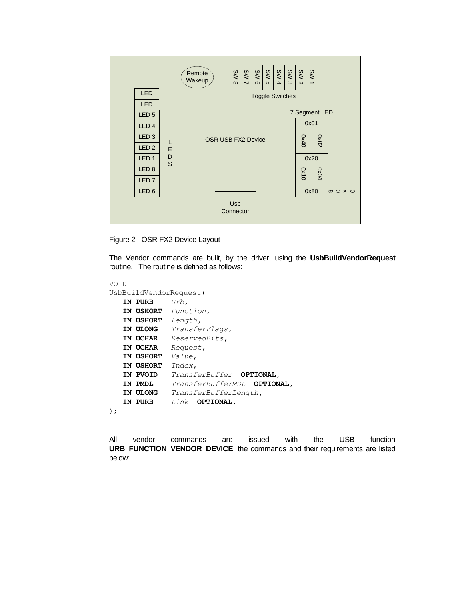

Figure 2 - OSR FX2 Device Layout

The Vendor commands are built, by the driver, using the **UsbBuildVendorRequest** routine. The routine is defined as follows:

```
VOID
UsbBuildVendorRequest(
   IN PURB Urb,
   IN USHORT Function,
   IN USHORT Length,
   IN ULONG TransferFlags,
   IN UCHAR ReservedBits,
   IN UCHAR Request,
   IN USHORT Value,
   IN USHORT Index,
   IN PVOID TransferBuffer OPTIONAL,
   IN PMDL TransferBufferMDL OPTIONAL,
   IN ULONG TransferBufferLength,
   IN PURB Link OPTIONAL,
);
```
All vendor commands are issued with the USB function **URB\_FUNCTION\_VENDOR\_DEVICE**, the commands and their requirements are listed below: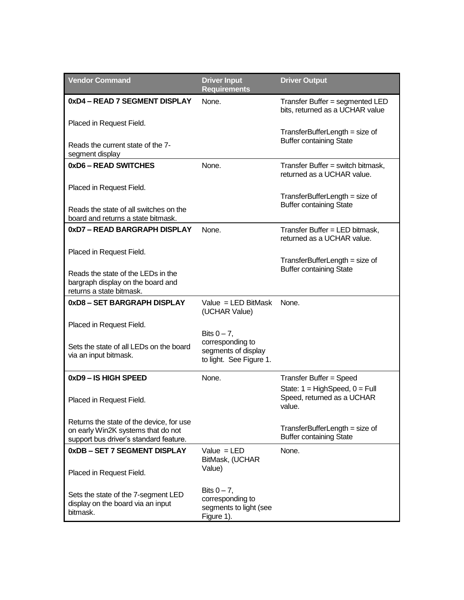| <b>Vendor Command</b>                                                                                                    | <b>Driver Input</b><br><b>Requirements</b>                                 | <b>Driver Output</b>                                                     |
|--------------------------------------------------------------------------------------------------------------------------|----------------------------------------------------------------------------|--------------------------------------------------------------------------|
| 0xD4 - READ 7 SEGMENT DISPLAY                                                                                            | None.                                                                      | Transfer Buffer = segmented LED<br>bits, returned as a UCHAR value       |
| Placed in Request Field.                                                                                                 |                                                                            | $TransferBufferLength = size of$                                         |
| Reads the current state of the 7-<br>segment display                                                                     |                                                                            | <b>Buffer containing State</b>                                           |
| 0xD6 - READ SWITCHES                                                                                                     | None.                                                                      | Transfer Buffer = switch bitmask,<br>returned as a UCHAR value.          |
| Placed in Request Field.                                                                                                 |                                                                            | $TransferBufferLength = size of$                                         |
| Reads the state of all switches on the<br>board and returns a state bitmask.                                             |                                                                            | <b>Buffer containing State</b>                                           |
| 0xD7 – READ BARGRAPH DISPLAY                                                                                             | None.                                                                      | Transfer Buffer = LED bitmask,<br>returned as a UCHAR value.             |
| Placed in Request Field.                                                                                                 |                                                                            | $TransferBufferLength = size of$                                         |
| Reads the state of the LEDs in the<br>bargraph display on the board and<br>returns a state bitmask.                      |                                                                            | <b>Buffer containing State</b>                                           |
| 0xD8 - SET BARGRAPH DISPLAY                                                                                              | Value = $LED$ BitMask<br>(UCHAR Value)                                     | None.                                                                    |
| Placed in Request Field.                                                                                                 | Bits $0 - 7$ ,                                                             |                                                                          |
| Sets the state of all LEDs on the board<br>via an input bitmask.                                                         | corresponding to<br>segments of display<br>to light. See Figure 1.         |                                                                          |
| 0xD9 - IS HIGH SPEED                                                                                                     | None.                                                                      | Transfer Buffer = Speed                                                  |
| Placed in Request Field.                                                                                                 |                                                                            | State: $1 = HighSpeed, 0 = Full$<br>Speed, returned as a UCHAR<br>value. |
| Returns the state of the device, for use<br>on early Win2K systems that do not<br>support bus driver's standard feature. |                                                                            | TransferBufferLength = size of<br><b>Buffer containing State</b>         |
| 0xDB - SET 7 SEGMENT DISPLAY                                                                                             | Value $=$ LED<br>BitMask, (UCHAR                                           | None.                                                                    |
| Placed in Request Field.                                                                                                 | Value)                                                                     |                                                                          |
| Sets the state of the 7-segment LED<br>display on the board via an input<br>bitmask.                                     | Bits $0 - 7$ ,<br>corresponding to<br>segments to light (see<br>Figure 1). |                                                                          |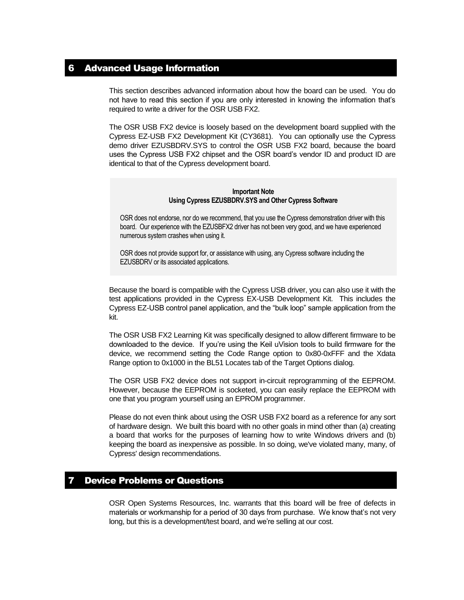## 6 Advanced Usage Information

This section describes advanced information about how the board can be used. You do not have to read this section if you are only interested in knowing the information that's required to write a driver for the OSR USB FX2.

The OSR USB FX2 device is loosely based on the development board supplied with the Cypress EZ-USB FX2 Development Kit (CY3681). You can optionally use the Cypress demo driver EZUSBDRV.SYS to control the OSR USB FX2 board, because the board uses the Cypress USB FX2 chipset and the OSR board's vendor ID and product ID are identical to that of the Cypress development board.

#### **Important Note Using Cypress EZUSBDRV.SYS and Other Cypress Software**

OSR does not endorse, nor do we recommend, that you use the Cypress demonstration driver with this board. Our experience with the EZUSBFX2 driver has not been very good, and we have experienced numerous system crashes when using it.

OSR does not provide support for, or assistance with using, any Cypress software including the EZUSBDRV or its associated applications.

Because the board is compatible with the Cypress USB driver, you can also use it with the test applications provided in the Cypress EX-USB Development Kit. This includes the Cypress EZ-USB control panel application, and the "bulk loop" sample application from the kit.

The OSR USB FX2 Learning Kit was specifically designed to allow different firmware to be downloaded to the device. If you're using the Keil uVision tools to build firmware for the device, we recommend setting the Code Range option to 0x80-0xFFF and the Xdata Range option to 0x1000 in the BL51 Locates tab of the Target Options dialog.

The OSR USB FX2 device does not support in-circuit reprogramming of the EEPROM. However, because the EEPROM is socketed, you can easily replace the EEPROM with one that you program yourself using an EPROM programmer.

Please do not even think about using the OSR USB FX2 board as a reference for any sort of hardware design. We built this board with no other goals in mind other than (a) creating a board that works for the purposes of learning how to write Windows drivers and (b) keeping the board as inexpensive as possible. In so doing, we've violated many, many, of Cypress' design recommendations.

## **Device Problems or Questions**

OSR Open Systems Resources, Inc. warrants that this board will be free of defects in materials or workmanship for a period of 30 days from purchase. We know that's not very long, but this is a development/test board, and we're selling at our cost.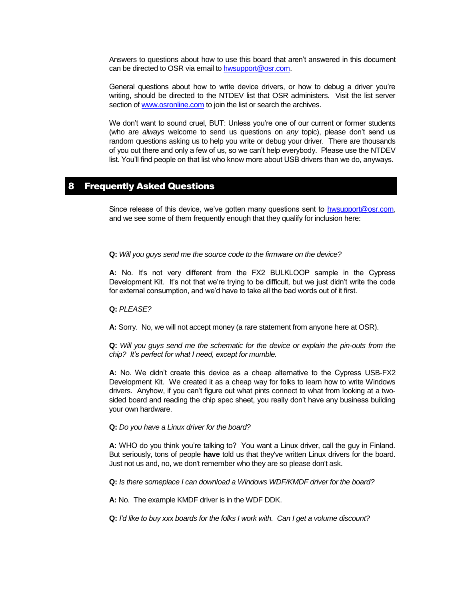Answers to questions about how to use this board that aren't answered in this document can be directed to OSR via email to [hwsupport@osr.com.](mailto:hwsupport@osr.com)

General questions about how to write device drivers, or how to debug a driver you're writing, should be directed to the NTDEV list that OSR administers. Visit the list server section of [www.osronline.com](http://www.osronline.com/) to join the list or search the archives.

We don't want to sound cruel, BUT: Unless you're one of our current or former students (who are *always* welcome to send us questions on *any* topic), please don't send us random questions asking us to help you write or debug your driver. There are thousands of you out there and only a few of us, so we can't help everybody. Please use the NTDEV list. You'll find people on that list who know more about USB drivers than we do, anyways.

## 8 Frequently Asked Questions

Since release of this device, we've gotten many questions sent to [hwsupport@osr.com,](mailto:hwsupport@osr.com) and we see some of them frequently enough that they qualify for inclusion here:

#### **Q:** *Will you guys send me the source code to the firmware on the device?*

**A:** No. It's not very different from the FX2 BULKLOOP sample in the Cypress Development Kit. It's not that we're trying to be difficult, but we just didn't write the code for external consumption, and we'd have to take all the bad words out of it first.

#### **Q:** *PLEASE?*

**A:** Sorry. No, we will not accept money (a rare statement from anyone here at OSR).

**Q:** *Will you guys send me the schematic for the device or explain the pin-outs from the chip? It's perfect for what I need, except for mumble.*

**A:** No. We didn't create this device as a cheap alternative to the Cypress USB-FX2 Development Kit. We created it as a cheap way for folks to learn how to write Windows drivers. Anyhow, if you can't figure out what pints connect to what from looking at a twosided board and reading the chip spec sheet, you really don't have any business building your own hardware.

#### **Q:** *Do you have a Linux driver for the board?*

**A:** WHO do you think you're talking to? You want a Linux driver, call the guy in Finland. But seriously, tons of people **have** told us that they've written Linux drivers for the board. Just not us and, no, we don't remember who they are so please don't ask.

**Q:** *Is there someplace I can download a Windows WDF/KMDF driver for the board?*

**A:** No. The example KMDF driver is in the WDF DDK.

**Q:** *I'd like to buy xxx boards for the folks I work with. Can I get a volume discount?*